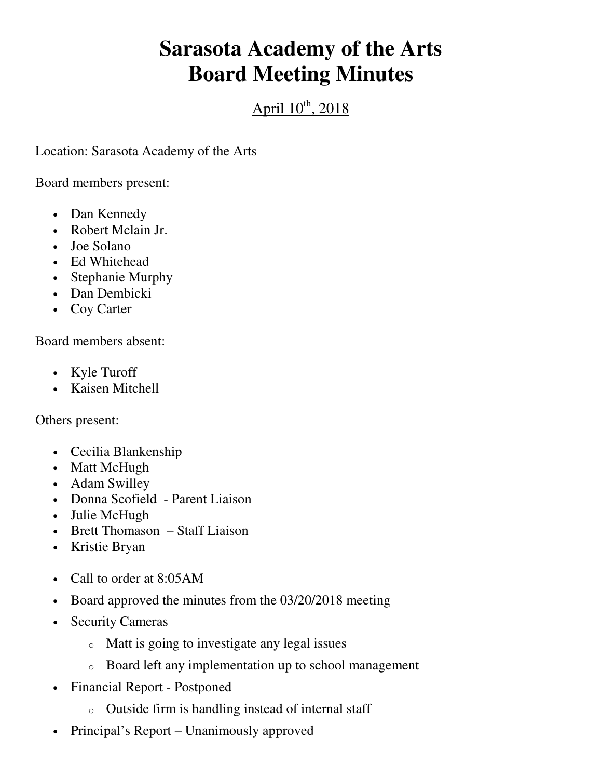## **Sarasota Academy of the Arts Board Meeting Minutes**

## April  $10^{th}$ , 2018

Location: Sarasota Academy of the Arts

Board members present:

- Dan Kennedy
- Robert Mclain Jr.
- Joe Solano
- Ed Whitehead
- Stephanie Murphy
- Dan Dembicki
- Coy Carter

Board members absent:

- Kyle Turoff
- Kaisen Mitchell

Others present:

- Cecilia Blankenship
- Matt McHugh
- Adam Swilley
- Donna Scofield Parent Liaison
- Julie McHugh
- Brett Thomason Staff Liaison
- Kristie Bryan
- Call to order at 8:05AM
- Board approved the minutes from the 03/20/2018 meeting
- Security Cameras
	- o Matt is going to investigate any legal issues
	- o Board left any implementation up to school management
- Financial Report Postponed
	- o Outside firm is handling instead of internal staff
- Principal's Report Unanimously approved